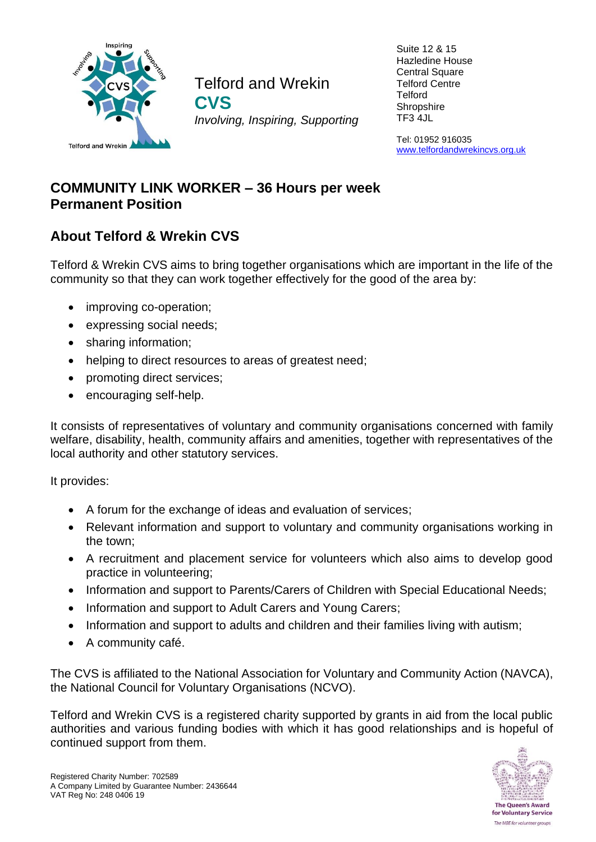

Telford and Wrekin **CVS** *Involving, Inspiring, Supporting*

Suite 12 & 15 Hazledine House Central Square Telford Centre **Telford Shropshire** TF3 4JL

Tel: 01952 916035 [www.telfordandwrekincvs.org.uk](http://www.telfordandwrekincvs.org.uk/)

# **COMMUNITY LINK WORKER – 36 Hours per week Permanent Position**

# **About Telford & Wrekin CVS**

Telford & Wrekin CVS aims to bring together organisations which are important in the life of the community so that they can work together effectively for the good of the area by:

- improving co-operation;
- expressing social needs;
- sharing information;
- helping to direct resources to areas of greatest need;
- promoting direct services;
- encouraging self-help.

It consists of representatives of voluntary and community organisations concerned with family welfare, disability, health, community affairs and amenities, together with representatives of the local authority and other statutory services.

It provides:

- A forum for the exchange of ideas and evaluation of services;
- Relevant information and support to voluntary and community organisations working in the town;
- A recruitment and placement service for volunteers which also aims to develop good practice in volunteering;
- Information and support to Parents/Carers of Children with Special Educational Needs;
- Information and support to Adult Carers and Young Carers;
- Information and support to adults and children and their families living with autism;
- A community café.

The CVS is affiliated to the National Association for Voluntary and Community Action (NAVCA), the National Council for Voluntary Organisations (NCVO).

Telford and Wrekin CVS is a registered charity supported by grants in aid from the local public authorities and various funding bodies with which it has good relationships and is hopeful of continued support from them.

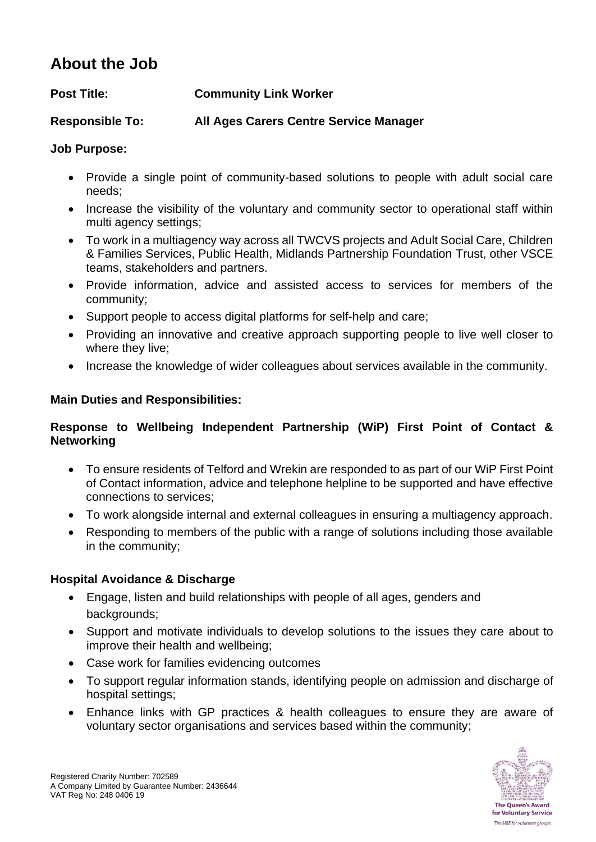# **About the Job**

**Responsible To: All Ages Carers Centre Service Manager**

## **Job Purpose:**

- Provide a single point of community-based solutions to people with adult social care needs;
- Increase the visibility of the voluntary and community sector to operational staff within multi agency settings;
- To work in a multiagency way across all TWCVS projects and Adult Social Care, Children & Families Services, Public Health, Midlands Partnership Foundation Trust, other VSCE teams, stakeholders and partners.
- Provide information, advice and assisted access to services for members of the community;
- Support people to access digital platforms for self-help and care;
- Providing an innovative and creative approach supporting people to live well closer to where they live;
- Increase the knowledge of wider colleagues about services available in the community.

## **Main Duties and Responsibilities:**

## **Response to Wellbeing Independent Partnership (WiP) First Point of Contact & Networking**

- To ensure residents of Telford and Wrekin are responded to as part of our WiP First Point of Contact information, advice and telephone helpline to be supported and have effective connections to services;
- To work alongside internal and external colleagues in ensuring a multiagency approach.
- Responding to members of the public with a range of solutions including those available in the community;

## **Hospital Avoidance & Discharge**

- Engage, listen and build relationships with people of all ages, genders and backgrounds;
- Support and motivate individuals to develop solutions to the issues they care about to improve their health and wellbeing;
- Case work for families evidencing outcomes
- To support regular information stands, identifying people on admission and discharge of hospital settings;
- Enhance links with GP practices & health colleagues to ensure they are aware of voluntary sector organisations and services based within the community;

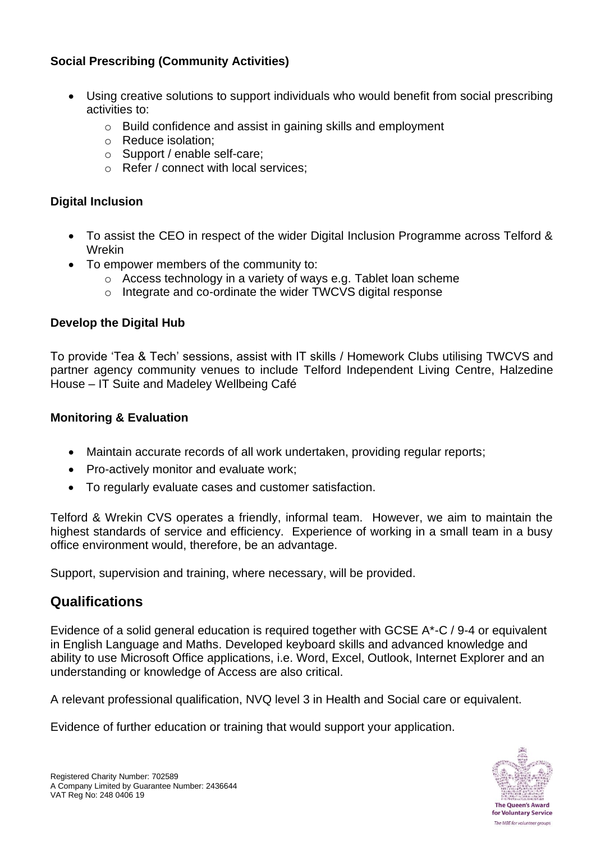## **Social Prescribing (Community Activities)**

- Using creative solutions to support individuals who would benefit from social prescribing activities to:
	- o Build confidence and assist in gaining skills and employment
	- o Reduce isolation;
	- o Support / enable self-care;
	- o Refer / connect with local services;

### **Digital Inclusion**

- To assist the CEO in respect of the wider Digital Inclusion Programme across Telford & Wrekin
- To empower members of the community to:
	- o Access technology in a variety of ways e.g. Tablet loan scheme
	- o Integrate and co-ordinate the wider TWCVS digital response

### **Develop the Digital Hub**

To provide 'Tea & Tech' sessions, assist with IT skills / Homework Clubs utilising TWCVS and partner agency community venues to include Telford Independent Living Centre, Halzedine House – IT Suite and Madeley Wellbeing Café

#### **Monitoring & Evaluation**

- Maintain accurate records of all work undertaken, providing regular reports;
- Pro-actively monitor and evaluate work;
- To regularly evaluate cases and customer satisfaction.

Telford & Wrekin CVS operates a friendly, informal team. However, we aim to maintain the highest standards of service and efficiency. Experience of working in a small team in a busy office environment would, therefore, be an advantage.

Support, supervision and training, where necessary, will be provided.

## **Qualifications**

Evidence of a solid general education is required together with GCSE A\*-C / 9-4 or equivalent in English Language and Maths. Developed keyboard skills and advanced knowledge and ability to use Microsoft Office applications, i.e. Word, Excel, Outlook, Internet Explorer and an understanding or knowledge of Access are also critical.

A relevant professional qualification, NVQ level 3 in Health and Social care or equivalent.

Evidence of further education or training that would support your application.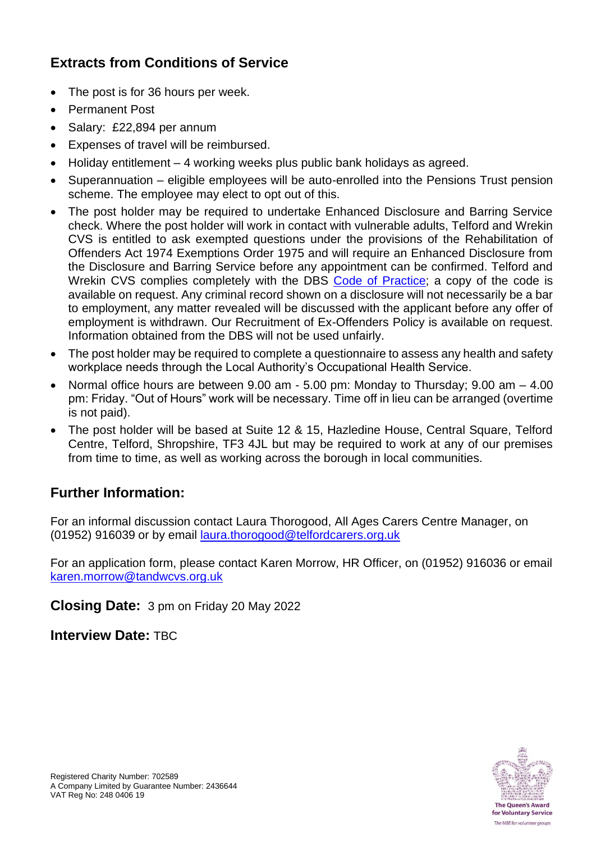# **Extracts from Conditions of Service**

- The post is for 36 hours per week.
- Permanent Post
- Salary: £22,894 per annum
- Expenses of travel will be reimbursed.
- Holiday entitlement 4 working weeks plus public bank holidays as agreed.
- Superannuation eligible employees will be auto-enrolled into the Pensions Trust pension scheme. The employee may elect to opt out of this.
- The post holder may be required to undertake Enhanced Disclosure and Barring Service check. Where the post holder will work in contact with vulnerable adults, Telford and Wrekin CVS is entitled to ask exempted questions under the provisions of the Rehabilitation of Offenders Act 1974 Exemptions Order 1975 and will require an Enhanced Disclosure from the Disclosure and Barring Service before any appointment can be confirmed. Telford and Wrekin CVS complies completely with the DBS [Code of Practice;](https://www.gov.uk/government/publications/dbs-code-of-practice) a copy of the code is available on request. Any criminal record shown on a disclosure will not necessarily be a bar to employment, any matter revealed will be discussed with the applicant before any offer of employment is withdrawn. Our Recruitment of Ex-Offenders Policy is available on request. Information obtained from the DBS will not be used unfairly.
- The post holder may be required to complete a questionnaire to assess any health and safety workplace needs through the Local Authority's Occupational Health Service.
- Normal office hours are between 9.00 am 5.00 pm: Monday to Thursday; 9.00 am 4.00 pm: Friday. "Out of Hours" work will be necessary. Time off in lieu can be arranged (overtime is not paid).
- The post holder will be based at Suite 12 & 15, Hazledine House, Central Square, Telford Centre, Telford, Shropshire, TF3 4JL but may be required to work at any of our premises from time to time, as well as working across the borough in local communities.

## **Further Information:**

For an informal discussion contact Laura Thorogood, All Ages Carers Centre Manager, on (01952) 916039 or by email [laura.thorogood@telfordcarers.org.uk](mailto:laura.thorogood@telfordcarers.org.uk)

For an application form, please contact Karen Morrow, HR Officer, on (01952) 916036 or email [karen.morrow@tandwcvs.org.uk](mailto:karen.morrow@tandwcvs.org.uk)

**Closing Date:** 3 pm on Friday 20 May 2022

**Interview Date:** TBC

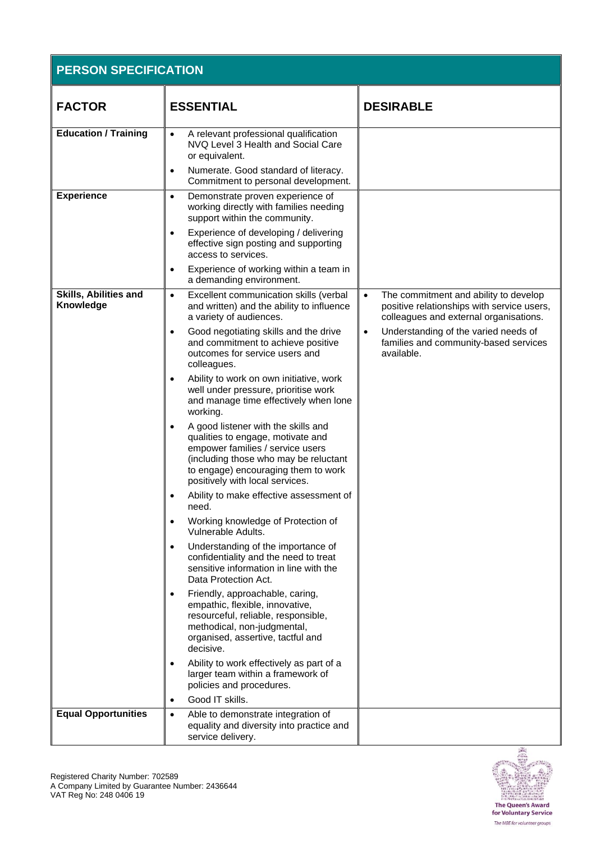| <b>PERSON SPECIFICATION</b>               |                                                                                                                                                                                                                                 |                                                                                                                                            |  |
|-------------------------------------------|---------------------------------------------------------------------------------------------------------------------------------------------------------------------------------------------------------------------------------|--------------------------------------------------------------------------------------------------------------------------------------------|--|
| <b>FACTOR</b>                             | <b>ESSENTIAL</b>                                                                                                                                                                                                                | <b>DESIRABLE</b>                                                                                                                           |  |
| <b>Education / Training</b>               | A relevant professional qualification<br>NVQ Level 3 Health and Social Care<br>or equivalent.                                                                                                                                   |                                                                                                                                            |  |
|                                           | Numerate. Good standard of literacy.<br>$\bullet$<br>Commitment to personal development.                                                                                                                                        |                                                                                                                                            |  |
| <b>Experience</b>                         | Demonstrate proven experience of<br>$\bullet$<br>working directly with families needing<br>support within the community.                                                                                                        |                                                                                                                                            |  |
|                                           | Experience of developing / delivering<br>effective sign posting and supporting<br>access to services.                                                                                                                           |                                                                                                                                            |  |
|                                           | Experience of working within a team in<br>a demanding environment.                                                                                                                                                              |                                                                                                                                            |  |
| <b>Skills, Abilities and</b><br>Knowledge | Excellent communication skills (verbal<br>$\bullet$<br>and written) and the ability to influence<br>a variety of audiences.                                                                                                     | The commitment and ability to develop<br>$\bullet$<br>positive relationships with service users,<br>colleagues and external organisations. |  |
|                                           | Good negotiating skills and the drive<br>$\bullet$<br>and commitment to achieve positive<br>outcomes for service users and<br>colleagues.                                                                                       | Understanding of the varied needs of<br>$\bullet$<br>families and community-based services<br>available.                                   |  |
|                                           | Ability to work on own initiative, work<br>$\bullet$<br>well under pressure, prioritise work<br>and manage time effectively when lone<br>working.                                                                               |                                                                                                                                            |  |
|                                           | A good listener with the skills and<br>qualities to engage, motivate and<br>empower families / service users<br>(including those who may be reluctant<br>to engage) encouraging them to work<br>positively with local services. |                                                                                                                                            |  |
|                                           | Ability to make effective assessment of<br>need.                                                                                                                                                                                |                                                                                                                                            |  |
|                                           | Working knowledge of Protection of<br>Vulnerable Adults.                                                                                                                                                                        |                                                                                                                                            |  |
|                                           | Understanding of the importance of<br>$\bullet$<br>confidentiality and the need to treat<br>sensitive information in line with the<br>Data Protection Act.                                                                      |                                                                                                                                            |  |
|                                           | Friendly, approachable, caring,<br>empathic, flexible, innovative,<br>resourceful, reliable, responsible,<br>methodical, non-judgmental,<br>organised, assertive, tactful and<br>decisive.                                      |                                                                                                                                            |  |
|                                           | Ability to work effectively as part of a<br>larger team within a framework of<br>policies and procedures.                                                                                                                       |                                                                                                                                            |  |
|                                           | Good IT skills.<br>$\bullet$                                                                                                                                                                                                    |                                                                                                                                            |  |
| <b>Equal Opportunities</b>                | Able to demonstrate integration of<br>$\bullet$<br>equality and diversity into practice and<br>service delivery.                                                                                                                |                                                                                                                                            |  |